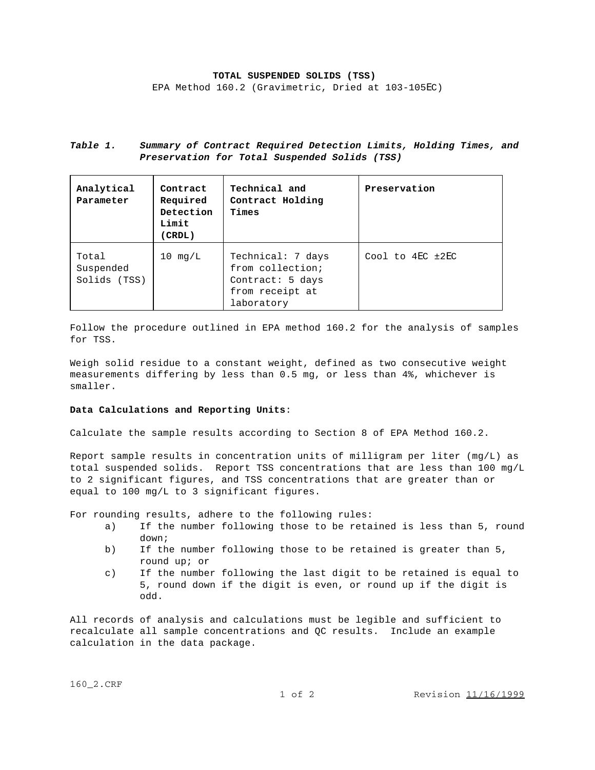## **TOTAL SUSPENDED SOLIDS (TSS)**

EPA Method 160.2 (Gravimetric, Dried at 103-105EC)

## *Table 1. Summary of Contract Required Detection Limits, Holding Times, and Preservation for Total Suspended Solids (TSS)*

| Analytical<br>Parameter            | Contract<br>Required<br>Detection<br>Limit<br>(CRDL) | Technical and<br>Contract Holding<br>Times                                                 | Preservation            |
|------------------------------------|------------------------------------------------------|--------------------------------------------------------------------------------------------|-------------------------|
| Total<br>Suspended<br>Solids (TSS) | $10 \text{ mg/L}$                                    | Technical: 7 days<br>from collection;<br>Contract: 5 days<br>from receipt at<br>laboratory | Cool to $4EC$ $\pm 2EC$ |

Follow the procedure outlined in EPA method 160.2 for the analysis of samples for TSS.

Weigh solid residue to a constant weight, defined as two consecutive weight measurements differing by less than 0.5 mg, or less than 4%, whichever is smaller.

## **Data Calculations and Reporting Units**:

Calculate the sample results according to Section 8 of EPA Method 160.2.

Report sample results in concentration units of milligram per liter  $(mq/L)$  as total suspended solids. Report TSS concentrations that are less than 100 mg/L to 2 significant figures, and TSS concentrations that are greater than or equal to 100 mg/L to 3 significant figures.

For rounding results, adhere to the following rules:

- a) If the number following those to be retained is less than 5, round down;
- b) If the number following those to be retained is greater than 5, round up; or
- c) If the number following the last digit to be retained is equal to 5, round down if the digit is even, or round up if the digit is odd.

All records of analysis and calculations must be legible and sufficient to recalculate all sample concentrations and QC results. Include an example calculation in the data package.

1 of 2 Revision  $\frac{11}{16}/\frac{1999}{190}$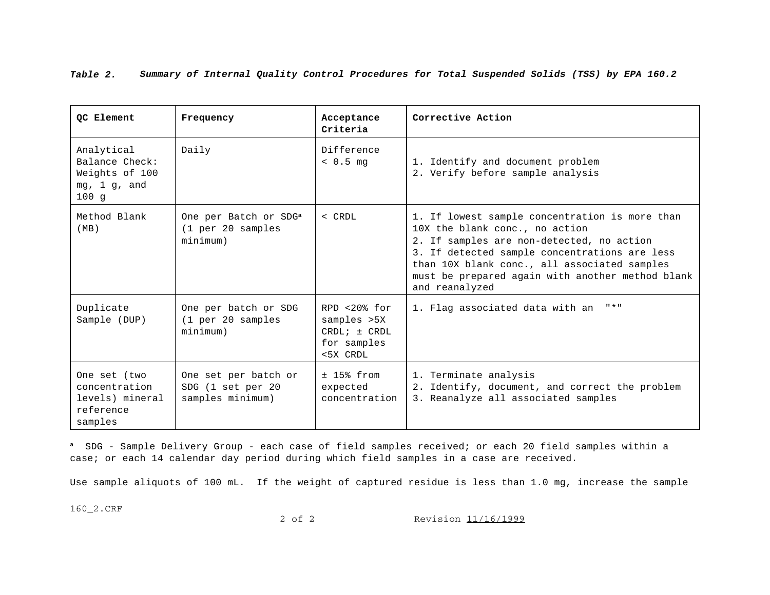| OC Element                                                               | Frequency                                                          | Acceptance<br>Criteria                                                         | Corrective Action                                                                                                                                                                                                                                                                                    |
|--------------------------------------------------------------------------|--------------------------------------------------------------------|--------------------------------------------------------------------------------|------------------------------------------------------------------------------------------------------------------------------------------------------------------------------------------------------------------------------------------------------------------------------------------------------|
| Analytical<br>Balance Check:<br>Weights of 100<br>mg, 1 g, and<br>100g   | Daily                                                              | Difference<br>$0.5$ mq                                                         | 1. Identify and document problem<br>2. Verify before sample analysis                                                                                                                                                                                                                                 |
| Method Blank<br>(MB)                                                     | One per Batch or SDG <sup>a</sup><br>(1 per 20 samples<br>minimum) | $\le$ CRDL                                                                     | 1. If lowest sample concentration is more than<br>10X the blank conc., no action<br>2. If samples are non-detected, no action<br>3. If detected sample concentrations are less<br>than 10X blank conc., all associated samples<br>must be prepared again with another method blank<br>and reanalyzed |
| Duplicate<br>Sample (DUP)                                                | One per batch or SDG<br>(1 per 20 samples<br>minimum)              | $RPD < 20$ % for<br>samples >5X<br>$CRDL: \pm CRDL$<br>for samples<br><5X CRDL | $\mathbf{u}$ $\star$ $\mathbf{u}$<br>1. Flag associated data with an                                                                                                                                                                                                                                 |
| One set (two<br>concentration<br>levels) mineral<br>reference<br>samples | One set per batch or<br>SDG (1 set per 20<br>samples minimum)      | ± 15% from<br>expected<br>concentration                                        | 1. Terminate analysis<br>2. Identify, document, and correct the problem<br>3. Reanalyze all associated samples                                                                                                                                                                                       |

*Table 2. Summary of Internal Quality Control Procedures for Total Suspended Solids (TSS) by EPA 160.2* 

**<sup>a</sup>** SDG - Sample Delivery Group - each case of field samples received; or each 20 field samples within a case; or each 14 calendar day period during which field samples in a case are received.

Use sample aliquots of 100 mL. If the weight of captured residue is less than 1.0 mg, increase the sample

160\_2.CRF

2 of 2 Revision  $\frac{11}{16}/\frac{1999}{9}$